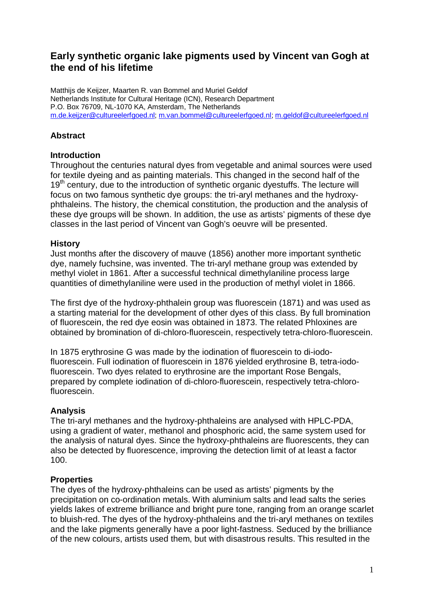# **Early synthetic organic lake pigments used by Vincent van Gogh at the end of his lifetime**

Matthijs de Keijzer, Maarten R. van Bommel and Muriel Geldof Netherlands Institute for Cultural Heritage (ICN), Research Department P.O. Box 76709, NL-1070 KA, Amsterdam, The Netherlands m.de.keijzer@cultureelerfgoed.nl; m.van.bommel@cultureelerfgoed.nl; m.geldof@cultureelerfgoed.nl

# **Abstract**

# **Introduction**

Throughout the centuries natural dyes from vegetable and animal sources were used for textile dyeing and as painting materials. This changed in the second half of the  $19<sup>th</sup>$  century, due to the introduction of synthetic organic dyestuffs. The lecture will focus on two famous synthetic dye groups: the tri-aryl methanes and the hydroxyphthaleins. The history, the chemical constitution, the production and the analysis of these dye groups will be shown. In addition, the use as artists' pigments of these dye classes in the last period of Vincent van Gogh's oeuvre will be presented.

#### **History**

Just months after the discovery of mauve (1856) another more important synthetic dye, namely fuchsine, was invented. The tri-aryl methane group was extended by methyl violet in 1861. After a successful technical dimethylaniline process large quantities of dimethylaniline were used in the production of methyl violet in 1866.

The first dye of the hydroxy-phthalein group was fluorescein (1871) and was used as a starting material for the development of other dyes of this class. By full bromination of fluorescein, the red dye eosin was obtained in 1873. The related Phloxines are obtained by bromination of di-chloro-fluorescein, respectively tetra-chloro-fluorescein.

In 1875 erythrosine G was made by the iodination of fluorescein to di-iodofluorescein. Full iodination of fluorescein in 1876 yielded erythrosine B, tetra-iodofluorescein. Two dyes related to erythrosine are the important Rose Bengals, prepared by complete iodination of di-chloro-fluorescein, respectively tetra-chlorofluorescein.

# **Analysis**

The tri-aryl methanes and the hydroxy-phthaleins are analysed with HPLC-PDA, using a gradient of water, methanol and phosphoric acid, the same system used for the analysis of natural dyes. Since the hydroxy-phthaleins are fluorescents, they can also be detected by fluorescence, improving the detection limit of at least a factor 100.

#### **Properties**

The dyes of the hydroxy-phthaleins can be used as artists' pigments by the precipitation on co-ordination metals. With aluminium salts and lead salts the series yields lakes of extreme brilliance and bright pure tone, ranging from an orange scarlet to bluish-red. The dyes of the hydroxy-phthaleins and the tri-aryl methanes on textiles and the lake pigments generally have a poor light-fastness. Seduced by the brilliance of the new colours, artists used them, but with disastrous results. This resulted in the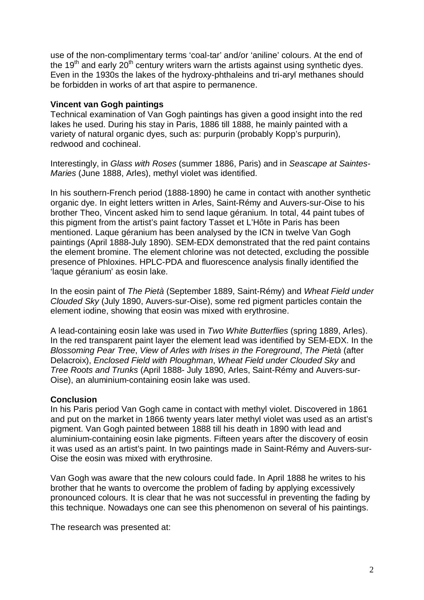use of the non-complimentary terms 'coal-tar' and/or 'aniline' colours. At the end of the 19<sup>th</sup> and early 20<sup>th</sup> century writers warn the artists against using synthetic dyes. Even in the 1930s the lakes of the hydroxy-phthaleins and tri-aryl methanes should be forbidden in works of art that aspire to permanence.

#### **Vincent van Gogh paintings**

Technical examination of Van Gogh paintings has given a good insight into the red lakes he used. During his stay in Paris, 1886 till 1888, he mainly painted with a variety of natural organic dyes, such as: purpurin (probably Kopp's purpurin), redwood and cochineal.

Interestingly, in Glass with Roses (summer 1886, Paris) and in Seascape at Saintes-Maries (June 1888, Arles), methyl violet was identified.

In his southern-French period (1888-1890) he came in contact with another synthetic organic dye. In eight letters written in Arles, Saint-Rémy and Auvers-sur-Oise to his brother Theo, Vincent asked him to send laque géranium. In total, 44 paint tubes of this pigment from the artist's paint factory Tasset et L'Hôte in Paris has been mentioned. Laque géranium has been analysed by the ICN in twelve Van Gogh paintings (April 1888-July 1890). SEM-EDX demonstrated that the red paint contains the element bromine. The element chlorine was not detected, excluding the possible presence of Phloxines. HPLC-PDA and fluorescence analysis finally identified the 'laque géranium' as eosin lake.

In the eosin paint of The Pietà (September 1889, Saint-Rémy) and Wheat Field under Clouded Sky (July 1890, Auvers-sur-Oise), some red pigment particles contain the element iodine, showing that eosin was mixed with erythrosine.

A lead-containing eosin lake was used in Two White Butterflies (spring 1889, Arles). In the red transparent paint layer the element lead was identified by SEM-EDX. In the Blossoming Pear Tree, View of Arles with Irises in the Foreground, The Pietà (after Delacroix), Enclosed Field with Ploughman, Wheat Field under Clouded Sky and Tree Roots and Trunks (April 1888- July 1890, Arles, Saint-Rémy and Auvers-sur-Oise), an aluminium-containing eosin lake was used.

# **Conclusion**

In his Paris period Van Gogh came in contact with methyl violet. Discovered in 1861 and put on the market in 1866 twenty years later methyl violet was used as an artist's pigment. Van Gogh painted between 1888 till his death in 1890 with lead and aluminium-containing eosin lake pigments. Fifteen years after the discovery of eosin it was used as an artist's paint. In two paintings made in Saint-Rémy and Auvers-sur-Oise the eosin was mixed with erythrosine.

Van Gogh was aware that the new colours could fade. In April 1888 he writes to his brother that he wants to overcome the problem of fading by applying excessively pronounced colours. It is clear that he was not successful in preventing the fading by this technique. Nowadays one can see this phenomenon on several of his paintings.

The research was presented at: